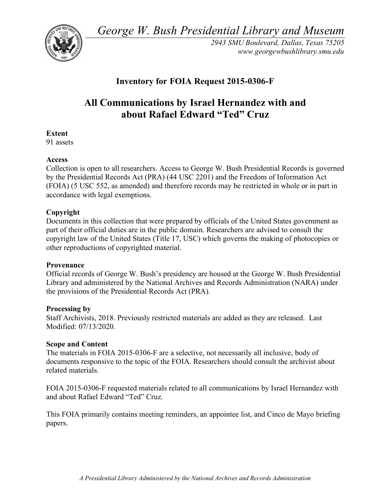*George W. Bush Presidential Library and Museum* 



*2943 SMU Boulevard, Dallas, Texas 75205 <www.georgewbushlibrary.smu.edu>* 

# **Inventory for FOIA Request 2015-0306-F**

# **All Communications by Israel Hernandez with and about Rafael Edward "Ted" Cruz**

### **Extent**

91 assets

# **Access**

 Collection is open to all researchers. Access to George W. Bush Presidential Records is governed by the Presidential Records Act (PRA) (44 USC 2201) and the Freedom of Information Act (FOIA) (5 USC 552, as amended) and therefore records may be restricted in whole or in part in accordance with legal exemptions.

# **Copyright**

 Documents in this collection that were prepared by officials of the United States government as part of their official duties are in the public domain. Researchers are advised to consult the copyright law of the United States (Title 17, USC) which governs the making of photocopies or other reproductions of copyrighted material.

### **Provenance**

 Official records of George W. Bush's presidency are housed at the George W. Bush Presidential Library and administered by the National Archives and Records Administration (NARA) under the provisions of the Presidential Records Act (PRA).

### **Processing by**

 Staff Archivists, 2018. Previously restricted materials are added as they are released. Last Modified: 07/13/2020.

### **Scope and Content**

 The materials in FOIA 2015-0306-F are a selective, not necessarily all inclusive, body of documents responsive to the topic of the FOIA. Researchers should consult the archivist about related materials.

 FOIA 2015-0306-F requested materials related to all communications by Israel Hernandez with and about Rafael Edward "Ted" Cruz.

 This FOIA primarily contains meeting reminders, an appointee list, and Cinco de Mayo briefing papers.